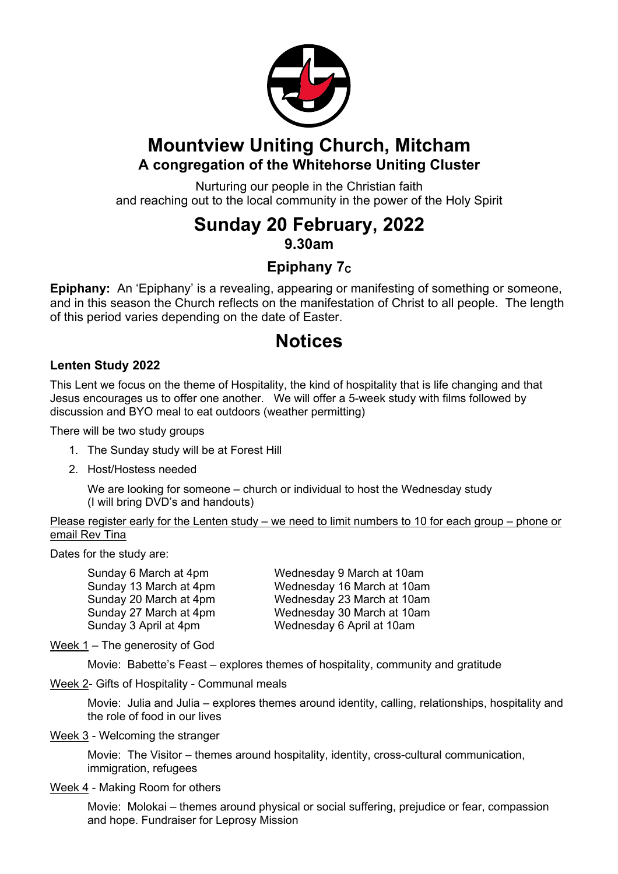

# **Mountview Uniting Church, Mitcham A congregation of the Whitehorse Uniting Cluster**

Nurturing our people in the Christian faith and reaching out to the local community in the power of the Holy Spirit

# **Sunday 20 February, 2022**

**9.30am**

# **Epiphany 7<sub>c</sub>**

**Epiphany:** An 'Epiphany' is a revealing, appearing or manifesting of something or someone, and in this season the Church reflects on the manifestation of Christ to all people. The length of this period varies depending on the date of Easter.

# **Notices**

#### **Lenten Study 2022**

This Lent we focus on the theme of Hospitality, the kind of hospitality that is life changing and that Jesus encourages us to offer one another. We will offer a 5-week study with films followed by discussion and BYO meal to eat outdoors (weather permitting)

There will be two study groups

- 1. The Sunday study will be at Forest Hill
- 2. Host/Hostess needed

We are looking for someone – church or individual to host the Wednesday study (I will bring DVD's and handouts)

Please register early for the Lenten study – we need to limit numbers to 10 for each group – phone or email Rev Tina

Dates for the study are:

Sunday 6 March at 4pm Wednesday 9 March at 10am Sunday 13 March at 4pm Wednesday 16 March at 10am Sunday 20 March at 4pm Wednesday 23 March at 10am Sunday 27 March at 4pm Wednesday 30 March at 10am Sunday 3 April at 4pm Wednesday 6 April at 10am

Week 1 – The generosity of God

Movie: Babette's Feast – explores themes of hospitality, community and gratitude

Week 2- Gifts of Hospitality - Communal meals

Movie: Julia and Julia – explores themes around identity, calling, relationships, hospitality and the role of food in our lives

Week 3 - Welcoming the stranger

Movie: The Visitor – themes around hospitality, identity, cross-cultural communication, immigration, refugees

Week 4 - Making Room for others

Movie: Molokai – themes around physical or social suffering, prejudice or fear, compassion and hope. Fundraiser for Leprosy Mission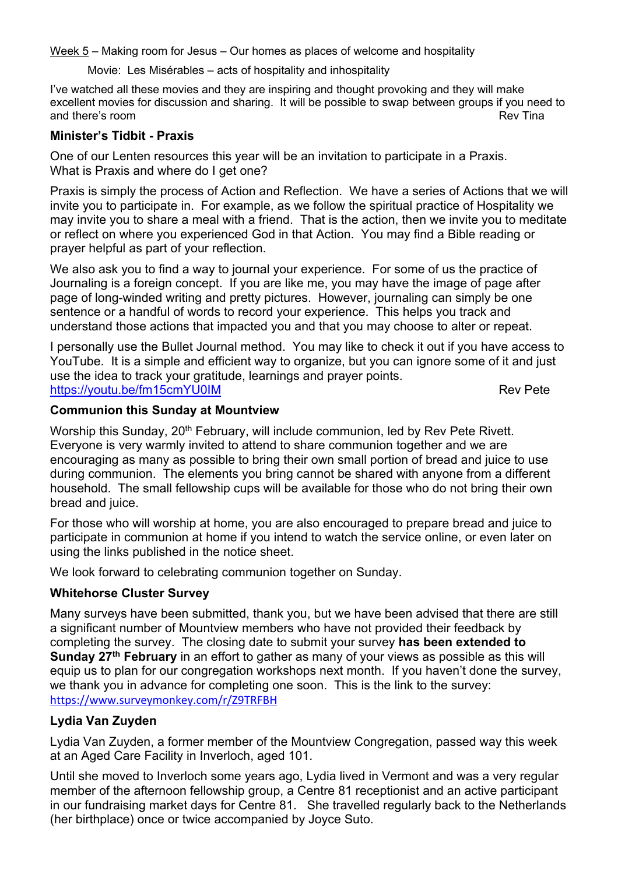Week 5 – Making room for Jesus – Our homes as places of welcome and hospitality

Movie: Les Misérables – acts of hospitality and inhospitality

I've watched all these movies and they are inspiring and thought provoking and they will make excellent movies for discussion and sharing. It will be possible to swap between groups if you need to and there's room **Review Community Community** and there's room **Rev** Tina

#### **Minister's Tidbit - Praxis**

One of our Lenten resources this year will be an invitation to participate in a Praxis. What is Praxis and where do I get one?

Praxis is simply the process of Action and Reflection. We have a series of Actions that we will invite you to participate in. For example, as we follow the spiritual practice of Hospitality we may invite you to share a meal with a friend. That is the action, then we invite you to meditate or reflect on where you experienced God in that Action. You may find a Bible reading or prayer helpful as part of your reflection.

We also ask you to find a way to journal your experience. For some of us the practice of Journaling is a foreign concept. If you are like me, you may have the image of page after page of long-winded writing and pretty pictures. However, journaling can simply be one sentence or a handful of words to record your experience. This helps you track and understand those actions that impacted you and that you may choose to alter or repeat.

I personally use the Bullet Journal method. You may like to check it out if you have access to YouTube. It is a simple and efficient way to organize, but you can ignore some of it and just use the idea to track your gratitude, learnings and prayer points. https://youtu.be/fm15cmYU0IM Rev Pete

#### **Communion this Sunday at Mountview**

Worship this Sunday, 20<sup>th</sup> February, will include communion, led by Rev Pete Rivett. Everyone is very warmly invited to attend to share communion together and we are encouraging as many as possible to bring their own small portion of bread and juice to use during communion. The elements you bring cannot be shared with anyone from a different household. The small fellowship cups will be available for those who do not bring their own bread and juice.

For those who will worship at home, you are also encouraged to prepare bread and juice to participate in communion at home if you intend to watch the service online, or even later on using the links published in the notice sheet.

We look forward to celebrating communion together on Sunday.

#### **Whitehorse Cluster Survey**

Many surveys have been submitted, thank you, but we have been advised that there are still a significant number of Mountview members who have not provided their feedback by completing the survey. The closing date to submit your survey **has been extended to Sunday 27th February** in an effort to gather as many of your views as possible as this will equip us to plan for our congregation workshops next month. If you haven't done the survey, we thank you in advance for completing one soon. This is the link to the survey: https://www.surveymonkey.com/r/Z9TRFBH

#### **Lydia Van Zuyden**

Lydia Van Zuyden, a former member of the Mountview Congregation, passed way this week at an Aged Care Facility in Inverloch, aged 101.

Until she moved to Inverloch some years ago, Lydia lived in Vermont and was a very regular member of the afternoon fellowship group, a Centre 81 receptionist and an active participant in our fundraising market days for Centre 81. She travelled regularly back to the Netherlands (her birthplace) once or twice accompanied by Joyce Suto.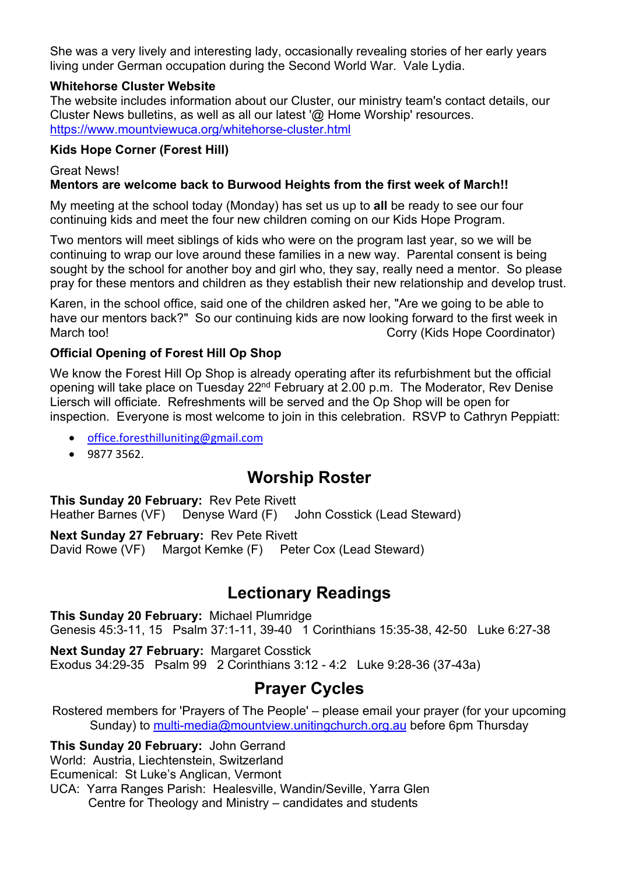She was a very lively and interesting lady, occasionally revealing stories of her early years living under German occupation during the Second World War. Vale Lydia.

#### **Whitehorse Cluster Website**

The website includes information about our Cluster, our ministry team's contact details, our Cluster News bulletins, as well as all our latest '@ Home Worship' resources. https://www.mountviewuca.org/whitehorse-cluster.html

#### **Kids Hope Corner (Forest Hill)**

#### Great News! **Mentors are welcome back to Burwood Heights from the first week of March!!**

My meeting at the school today (Monday) has set us up to **all** be ready to see our four continuing kids and meet the four new children coming on our Kids Hope Program.

Two mentors will meet siblings of kids who were on the program last year, so we will be continuing to wrap our love around these families in a new way. Parental consent is being sought by the school for another boy and girl who, they say, really need a mentor. So please pray for these mentors and children as they establish their new relationship and develop trust.

Karen, in the school office, said one of the children asked her, "Are we going to be able to have our mentors back?" So our continuing kids are now looking forward to the first week in March too! Corry (Kids Hope Coordinator)

#### **Official Opening of Forest Hill Op Shop**

We know the Forest Hill Op Shop is already operating after its refurbishment but the official opening will take place on Tuesday 22nd February at 2.00 p.m. The Moderator, Rev Denise Liersch will officiate. Refreshments will be served and the Op Shop will be open for inspection. Everyone is most welcome to join in this celebration. RSVP to Cathryn Peppiatt:

- office.foresthilluniting@gmail.com
- 9877 3562.

# **Worship Roster**

**This Sunday 20 February:** Rev Pete Rivett

Heather Barnes (VF) Denyse Ward (F) John Cosstick (Lead Steward)

**Next Sunday 27 February:** Rev Pete Rivett

David Rowe (VF) Margot Kemke (F) Peter Cox (Lead Steward)

### **Lectionary Readings**

**This Sunday 20 February:** Michael Plumridge Genesis 45:3-11, 15 Psalm 37:1-11, 39-40 1 Corinthians 15:35-38, 42-50 Luke 6:27-38

**Next Sunday 27 February:** Margaret Cosstick Exodus 34:29-35 Psalm 99 2 Corinthians 3:12 - 4:2 Luke 9:28-36 (37-43a)

# **Prayer Cycles**

Rostered members for 'Prayers of The People' – please email your prayer (for your upcoming Sunday) to multi-media@mountview.unitingchurch.org.au before 6pm Thursday

**This Sunday 20 February:** John Gerrand World: Austria, Liechtenstein, Switzerland Ecumenical: St Luke's Anglican, Vermont UCA: Yarra Ranges Parish: Healesville, Wandin/Seville, Yarra Glen Centre for Theology and Ministry – candidates and students